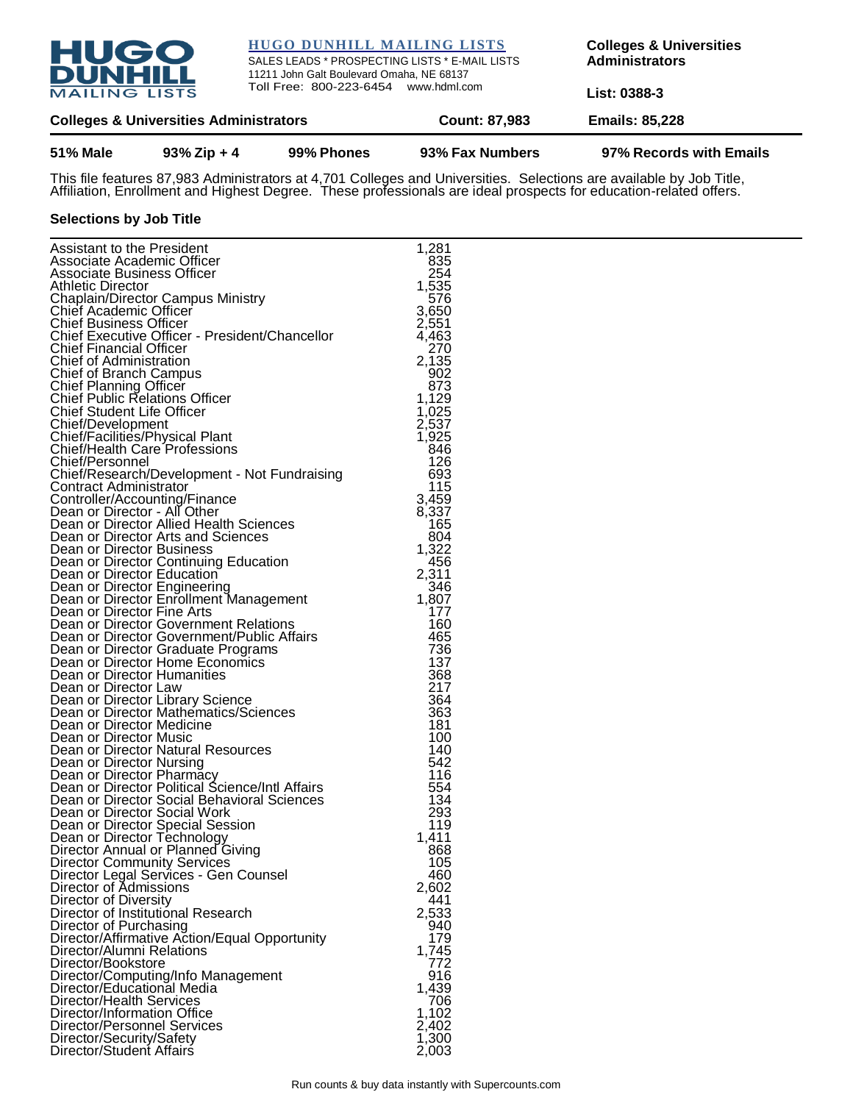

## **HUGO DUNHILL MAILING LISTS**

SALES LEADS \* PROSPECTING LISTS \* E-MAIL LISTS 11211 John Galt Boulevard Omaha, NE 68137 Toll Free: 800-223-6454 www.hdml.com

**Colleges & Universities Administrators**

**List: 0388-3**

| <b>Colleges &amp; Universities Administrators</b> | <b>Count: 87,983</b> | <b>Emails: 85,228</b> |
|---------------------------------------------------|----------------------|-----------------------|
|                                                   |                      |                       |

## **51% Male 93% Zip + 4 99% Phones 93% Fax Numbers 97% Records with Emails**

This file features 87,983 Administrators at 4,701 Colleges and Universities. Selections are available by Job Title, Affiliation, Enrollment and Highest Degree. These professionals are ideal prospects for education-related offers.

## **Selections by Job Title**

| Assistant to the President                                              | 1,281        |
|-------------------------------------------------------------------------|--------------|
| Associate Academic Officer                                              | 835          |
| Associate Business Officer                                              | 254          |
| Athletic Director                                                       | 1,535        |
| Chaplain/Director Campus Ministry<br>Chief Academic Officer             | 576<br>3,650 |
| <b>Chief Business Officer</b>                                           | 2,551        |
| Chief Executive Officer - President/Chancellor                          | 4,463        |
| <b>Chief Financial Officer</b>                                          | 270          |
| Chief of Administration                                                 | 2,135        |
| Chief of Branch Campus                                                  | 902          |
| Chief Planning Officer                                                  | 873          |
| <b>Chief Public Relations Officer</b>                                   | 1,129        |
| <b>Chief Student Life Officer</b>                                       | 1,025        |
| Chief/Development                                                       | 2,537        |
| Chief/Facilities/Physical Plant<br>Chief/Health Care Professions        | 1,925<br>846 |
| Chief/Personnel                                                         | 126          |
| Chief/Research/Development - Not Fundraising                            | 693          |
| Contract Administrator                                                  | 115          |
| Controller/Accounting/Finance                                           | 3,459        |
| Dean or Director - All Other                                            | 8,337        |
| Dean or Director Allied Health Sciences                                 | 165          |
| Dean or Director Arts and Sciences                                      | 804          |
| Dean or Director Business                                               | 1,322        |
| Dean or Director Continuing Education                                   | 456          |
| Dean or Director Education                                              | 2,311<br>346 |
| Dean or Director Engineering<br>Dean or Director Enrollment Management  | 1,807        |
| Dean or Director Fine Arts                                              | 177          |
| Dean or Director Government Relations                                   | 160          |
| Dean or Director Government/Public Affairs                              | 465          |
| Dean or Director Graduate Programs                                      | 736          |
| Dean or Director Home Economics                                         | 137          |
| Dean or Director Humanities                                             | 368          |
| Dean or Director Law                                                    | 217          |
| Dean or Director Library Science                                        | 364          |
| Dean or Director Mathematics/Sciences<br>Dean or Director Medicine      | 363<br>181   |
| Dean or Director Music                                                  | 100          |
| Dean or Director Natural Resources                                      | 140          |
| Dean or Director Nursing                                                | 542          |
| Dean or Director Pharmacy                                               | 116          |
| Dean or Director Political Science/Intl Affairs                         | 554          |
| Dean or Director Social Behavioral Sciences                             | 134          |
| Dean or Director Social Work                                            | 293          |
| Dean or Director Special Session                                        | 119          |
| Dean or Director Technology                                             | 1,411        |
| Director Annual or Planned Giving<br><b>Director Community Services</b> | 868<br>105   |
| Director Legal Services - Gen Counsel                                   | 460          |
| Director of Admissions                                                  | 2,602        |
| Director of Diversity                                                   | 441          |
| Director of Institutional Research                                      | 2,533        |
| Director of Purchasing                                                  | 940          |
| Director/Affirmative Action/Equal Opportunity                           | 179          |
| Director/Alumni Relations                                               | 1,745        |
| Director/Bookstore                                                      | 772          |
| Director/Computing/Info Management<br>Director/Educational Media        | 916<br>1,439 |
| Director/Health Services                                                | 706          |
| Director/Information Office                                             | 1,102        |
| Director/Personnel Services                                             | 2,402        |
| Director/Security/Safety                                                | 1,300        |
| Director/Student Affairs                                                | 2,003        |